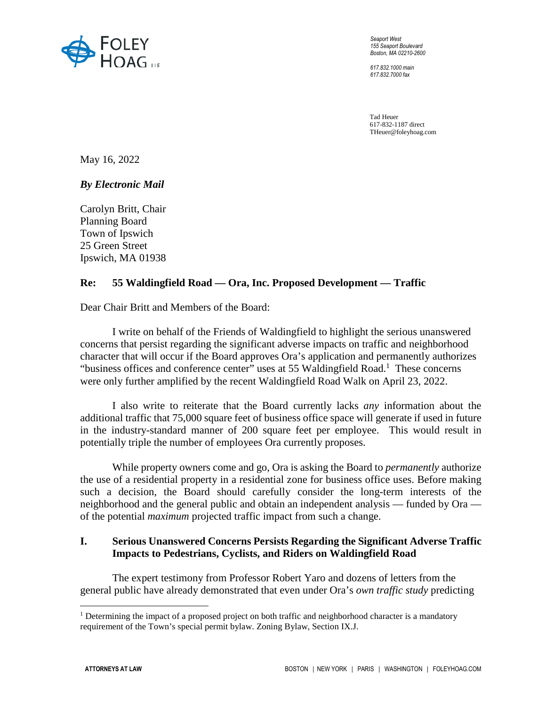

*Seaport West 155 Seaport Boulevard Boston, MA 02210-2600* 

*617.832.1000 main 617.832.7000 fax* 

Tad Heuer 617-832-1187 direct THeuer@foleyhoag.com

May 16, 2022

*By Electronic Mail* 

Carolyn Britt, Chair Planning Board Town of Ipswich 25 Green Street Ipswich, MA 01938

## **Re: 55 Waldingfield Road — Ora, Inc. Proposed Development — Traffic**

Dear Chair Britt and Members of the Board:

I write on behalf of the Friends of Waldingfield to highlight the serious unanswered concerns that persist regarding the significant adverse impacts on traffic and neighborhood character that will occur if the Board approves Ora's application and permanently authorizes "business offices and conference center" uses at 55 Waldingfield Road.<sup>1</sup> These concerns were only further amplified by the recent Waldingfield Road Walk on April 23, 2022.

I also write to reiterate that the Board currently lacks *any* information about the additional traffic that 75,000 square feet of business office space will generate if used in future in the industry-standard manner of 200 square feet per employee. This would result in potentially triple the number of employees Ora currently proposes.

While property owners come and go, Ora is asking the Board to *permanently* authorize the use of a residential property in a residential zone for business office uses. Before making such a decision, the Board should carefully consider the long-term interests of the neighborhood and the general public and obtain an independent analysis — funded by Ora of the potential *maximum* projected traffic impact from such a change.

## **I. Serious Unanswered Concerns Persists Regarding the Significant Adverse Traffic Impacts to Pedestrians, Cyclists, and Riders on Waldingfield Road**

The expert testimony from Professor Robert Yaro and dozens of letters from the general public have already demonstrated that even under Ora's *own traffic study* predicting

 $\overline{a}$ 

<sup>&</sup>lt;sup>1</sup> Determining the impact of a proposed project on both traffic and neighborhood character is a mandatory requirement of the Town's special permit bylaw. Zoning Bylaw, Section IX.J.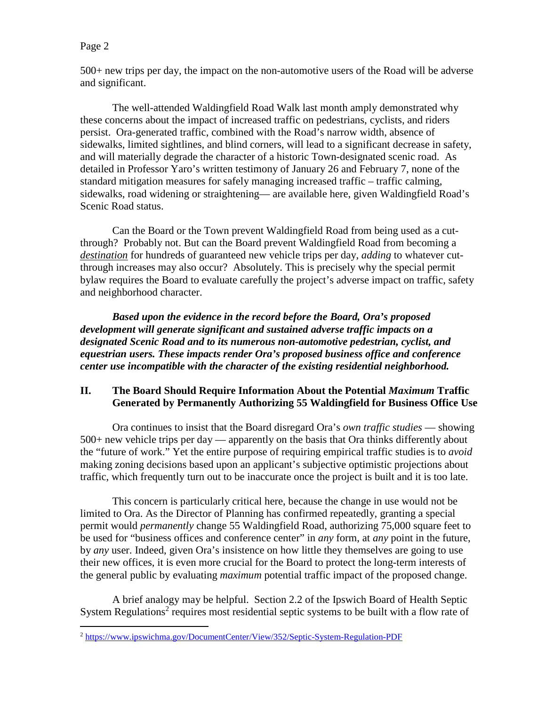## Page 2

 $\overline{a}$ 

500+ new trips per day, the impact on the non-automotive users of the Road will be adverse and significant.

The well-attended Waldingfield Road Walk last month amply demonstrated why these concerns about the impact of increased traffic on pedestrians, cyclists, and riders persist. Ora-generated traffic, combined with the Road's narrow width, absence of sidewalks, limited sightlines, and blind corners, will lead to a significant decrease in safety, and will materially degrade the character of a historic Town-designated scenic road. As detailed in Professor Yaro's written testimony of January 26 and February 7, none of the standard mitigation measures for safely managing increased traffic – traffic calming, sidewalks, road widening or straightening— are available here, given Waldingfield Road's Scenic Road status.

Can the Board or the Town prevent Waldingfield Road from being used as a cutthrough? Probably not. But can the Board prevent Waldingfield Road from becoming a *destination* for hundreds of guaranteed new vehicle trips per day, *adding* to whatever cutthrough increases may also occur? Absolutely. This is precisely why the special permit bylaw requires the Board to evaluate carefully the project's adverse impact on traffic, safety and neighborhood character.

*Based upon the evidence in the record before the Board, Ora's proposed development will generate significant and sustained adverse traffic impacts on a designated Scenic Road and to its numerous non-automotive pedestrian, cyclist, and equestrian users. These impacts render Ora's proposed business office and conference center use incompatible with the character of the existing residential neighborhood.* 

## **II. The Board Should Require Information About the Potential** *Maximum* **Traffic Generated by Permanently Authorizing 55 Waldingfield for Business Office Use**

Ora continues to insist that the Board disregard Ora's *own traffic studies* — showing 500+ new vehicle trips per day — apparently on the basis that Ora thinks differently about the "future of work." Yet the entire purpose of requiring empirical traffic studies is to *avoid* making zoning decisions based upon an applicant's subjective optimistic projections about traffic, which frequently turn out to be inaccurate once the project is built and it is too late.

This concern is particularly critical here, because the change in use would not be limited to Ora. As the Director of Planning has confirmed repeatedly, granting a special permit would *permanently* change 55 Waldingfield Road, authorizing 75,000 square feet to be used for "business offices and conference center" in *any* form, at *any* point in the future, by *any* user. Indeed, given Ora's insistence on how little they themselves are going to use their new offices, it is even more crucial for the Board to protect the long-term interests of the general public by evaluating *maximum* potential traffic impact of the proposed change.

A brief analogy may be helpful. Section 2.2 of the Ipswich Board of Health Septic System Regulations<sup>2</sup> requires most residential septic systems to be built with a flow rate of

<sup>&</sup>lt;sup>2</sup> https://www.ipswichma.gov/DocumentCenter/View/352/Septic-System-Regulation-PDF